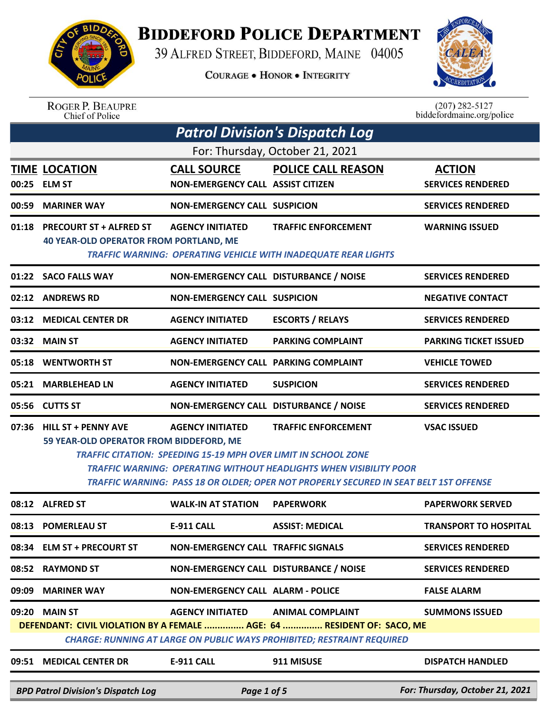

## **BIDDEFORD POLICE DEPARTMENT**

39 ALFRED STREET, BIDDEFORD, MAINE 04005

**COURAGE . HONOR . INTEGRITY** 



## ROGER P. BEAUPRE<br>Chief of Police

 $(207)$  282-5127<br>biddefordmaine.org/police

| <b>Patrol Division's Dispatch Log</b> |                                                                                |                                                                                                  |                                                                                                                                                                                                  |                                           |  |
|---------------------------------------|--------------------------------------------------------------------------------|--------------------------------------------------------------------------------------------------|--------------------------------------------------------------------------------------------------------------------------------------------------------------------------------------------------|-------------------------------------------|--|
| For: Thursday, October 21, 2021       |                                                                                |                                                                                                  |                                                                                                                                                                                                  |                                           |  |
|                                       | <b>TIME LOCATION</b><br>00:25 ELM ST                                           | <b>CALL SOURCE</b><br><b>NON-EMERGENCY CALL ASSIST CITIZEN</b>                                   | POLICE CALL REASON                                                                                                                                                                               | <b>ACTION</b><br><b>SERVICES RENDERED</b> |  |
|                                       | 00:59 MARINER WAY                                                              | <b>NON-EMERGENCY CALL SUSPICION</b>                                                              |                                                                                                                                                                                                  | <b>SERVICES RENDERED</b>                  |  |
|                                       | 01:18 PRECOURT ST + ALFRED ST<br><b>40 YEAR-OLD OPERATOR FROM PORTLAND, ME</b> | <b>AGENCY INITIATED</b>                                                                          | <b>TRAFFIC ENFORCEMENT</b><br><b>TRAFFIC WARNING: OPERATING VEHICLE WITH INADEQUATE REAR LIGHTS</b>                                                                                              | <b>WARNING ISSUED</b>                     |  |
|                                       | 01:22 SACO FALLS WAY                                                           | NON-EMERGENCY CALL DISTURBANCE / NOISE                                                           |                                                                                                                                                                                                  | <b>SERVICES RENDERED</b>                  |  |
|                                       | 02:12 ANDREWS RD                                                               | <b>NON-EMERGENCY CALL SUSPICION</b>                                                              |                                                                                                                                                                                                  | <b>NEGATIVE CONTACT</b>                   |  |
| 03:12                                 | <b>MEDICAL CENTER DR</b>                                                       | <b>AGENCY INITIATED</b>                                                                          | <b>ESCORTS / RELAYS</b>                                                                                                                                                                          | <b>SERVICES RENDERED</b>                  |  |
|                                       | 03:32 MAIN ST                                                                  | <b>AGENCY INITIATED</b>                                                                          | <b>PARKING COMPLAINT</b>                                                                                                                                                                         | <b>PARKING TICKET ISSUED</b>              |  |
|                                       | 05:18 WENTWORTH ST                                                             | NON-EMERGENCY CALL PARKING COMPLAINT                                                             |                                                                                                                                                                                                  | <b>VEHICLE TOWED</b>                      |  |
| 05:21                                 | <b>MARBLEHEAD LN</b>                                                           | <b>AGENCY INITIATED</b>                                                                          | <b>SUSPICION</b>                                                                                                                                                                                 | <b>SERVICES RENDERED</b>                  |  |
|                                       | 05:56 CUTTS ST                                                                 | NON-EMERGENCY CALL DISTURBANCE / NOISE                                                           |                                                                                                                                                                                                  | <b>SERVICES RENDERED</b>                  |  |
|                                       | 07:36 HILL ST + PENNY AVE<br>59 YEAR-OLD OPERATOR FROM BIDDEFORD, ME           | <b>AGENCY INITIATED</b><br><b>TRAFFIC CITATION: SPEEDING 15-19 MPH OVER LIMIT IN SCHOOL ZONE</b> | <b>TRAFFIC ENFORCEMENT</b><br><b>TRAFFIC WARNING: OPERATING WITHOUT HEADLIGHTS WHEN VISIBILITY POOR</b><br>TRAFFIC WARNING: PASS 18 OR OLDER; OPER NOT PROPERLY SECURED IN SEAT BELT 1ST OFFENSE | <b>VSAC ISSUED</b>                        |  |
|                                       | 08:12 ALFRED ST                                                                | <b>WALK-IN AT STATION</b>                                                                        | <b>PAPERWORK</b>                                                                                                                                                                                 | <b>PAPERWORK SERVED</b>                   |  |
|                                       | 08:13 POMERLEAU ST                                                             | <b>E-911 CALL</b>                                                                                | <b>ASSIST: MEDICAL</b>                                                                                                                                                                           | <b>TRANSPORT TO HOSPITAL</b>              |  |
| 08:34                                 | <b>ELM ST + PRECOURT ST</b>                                                    | <b>NON-EMERGENCY CALL TRAFFIC SIGNALS</b>                                                        |                                                                                                                                                                                                  | <b>SERVICES RENDERED</b>                  |  |
| 08:52                                 | <b>RAYMOND ST</b>                                                              | NON-EMERGENCY CALL DISTURBANCE / NOISE                                                           |                                                                                                                                                                                                  | <b>SERVICES RENDERED</b>                  |  |
| 09:09                                 | <b>MARINER WAY</b>                                                             | <b>NON-EMERGENCY CALL ALARM - POLICE</b>                                                         |                                                                                                                                                                                                  | <b>FALSE ALARM</b>                        |  |
| 09:20                                 | <b>MAIN ST</b>                                                                 | <b>AGENCY INITIATED</b>                                                                          | <b>ANIMAL COMPLAINT</b><br>DEFENDANT: CIVIL VIOLATION BY A FEMALE  AGE: 64  RESIDENT OF: SACO, ME<br><b>CHARGE: RUNNING AT LARGE ON PUBLIC WAYS PROHIBITED; RESTRAINT REQUIRED</b>               | <b>SUMMONS ISSUED</b>                     |  |
| 09:51                                 | <b>MEDICAL CENTER DR</b>                                                       | <b>E-911 CALL</b>                                                                                | 911 MISUSE                                                                                                                                                                                       | <b>DISPATCH HANDLED</b>                   |  |
|                                       | <b>BPD Patrol Division's Dispatch Log</b>                                      | Page 1 of 5                                                                                      |                                                                                                                                                                                                  | For: Thursday, October 21, 2021           |  |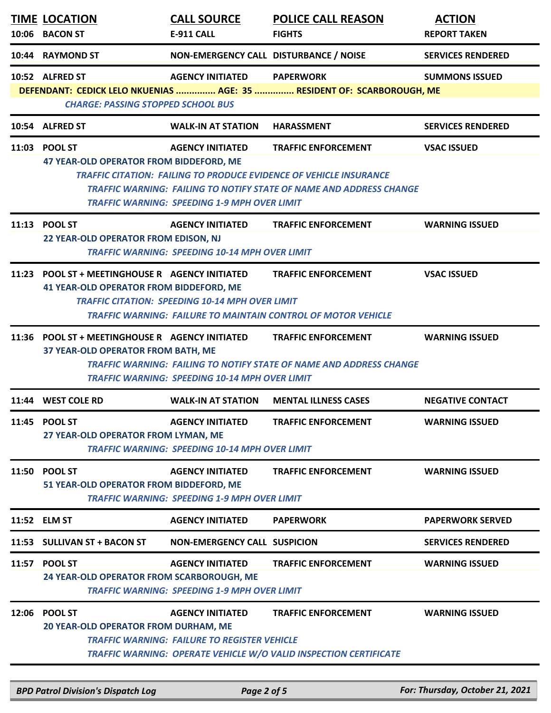| 10:06 | <b>TIME LOCATION</b><br><b>BACON ST</b>                                                           | <b>CALL SOURCE</b><br>E-911 CALL                                                 | <b>POLICE CALL REASON</b><br><b>FIGHTS</b>                                                                                                                                            | <b>ACTION</b><br><b>REPORT TAKEN</b> |
|-------|---------------------------------------------------------------------------------------------------|----------------------------------------------------------------------------------|---------------------------------------------------------------------------------------------------------------------------------------------------------------------------------------|--------------------------------------|
|       | 10:44 RAYMOND ST                                                                                  | NON-EMERGENCY CALL DISTURBANCE / NOISE                                           |                                                                                                                                                                                       | <b>SERVICES RENDERED</b>             |
|       | 10:52 ALFRED ST<br><b>CHARGE: PASSING STOPPED SCHOOL BUS</b>                                      | <b>AGENCY INITIATED</b>                                                          | <b>PAPERWORK</b><br>DEFENDANT: CEDICK LELO NKUENIAS  AGE: 35  RESIDENT OF: SCARBOROUGH, ME                                                                                            | <b>SUMMONS ISSUED</b>                |
|       | 10:54 ALFRED ST                                                                                   | <b>WALK-IN AT STATION</b>                                                        | <b>HARASSMENT</b>                                                                                                                                                                     | <b>SERVICES RENDERED</b>             |
|       | 11:03 POOL ST<br>47 YEAR-OLD OPERATOR FROM BIDDEFORD, ME                                          | <b>AGENCY INITIATED</b><br><b>TRAFFIC WARNING: SPEEDING 1-9 MPH OVER LIMIT</b>   | <b>TRAFFIC ENFORCEMENT</b><br><b>TRAFFIC CITATION: FAILING TO PRODUCE EVIDENCE OF VEHICLE INSURANCE</b><br><b>TRAFFIC WARNING: FAILING TO NOTIFY STATE OF NAME AND ADDRESS CHANGE</b> | <b>VSAC ISSUED</b>                   |
|       | 11:13 POOL ST<br>22 YEAR-OLD OPERATOR FROM EDISON, NJ                                             | <b>AGENCY INITIATED</b><br><b>TRAFFIC WARNING: SPEEDING 10-14 MPH OVER LIMIT</b> | <b>TRAFFIC ENFORCEMENT</b>                                                                                                                                                            | <b>WARNING ISSUED</b>                |
|       | 11:23 POOL ST + MEETINGHOUSE R AGENCY INITIATED<br><b>41 YEAR-OLD OPERATOR FROM BIDDEFORD, ME</b> | <b>TRAFFIC CITATION: SPEEDING 10-14 MPH OVER LIMIT</b>                           | <b>TRAFFIC ENFORCEMENT</b><br><b>TRAFFIC WARNING: FAILURE TO MAINTAIN CONTROL OF MOTOR VEHICLE</b>                                                                                    | <b>VSAC ISSUED</b>                   |
|       | 11:36 POOL ST + MEETINGHOUSE R AGENCY INITIATED<br>37 YEAR-OLD OPERATOR FROM BATH, ME             | <b>TRAFFIC WARNING: SPEEDING 10-14 MPH OVER LIMIT</b>                            | <b>TRAFFIC ENFORCEMENT</b><br><b>TRAFFIC WARNING: FAILING TO NOTIFY STATE OF NAME AND ADDRESS CHANGE</b>                                                                              | <b>WARNING ISSUED</b>                |
| 11:44 | <b>WEST COLE RD</b>                                                                               | <b>WALK-IN AT STATION</b>                                                        | <b>MENTAL ILLNESS CASES</b>                                                                                                                                                           | <b>NEGATIVE CONTACT</b>              |
|       | 11:45 POOL ST<br>27 YEAR-OLD OPERATOR FROM LYMAN, ME                                              | <b>AGENCY INITIATED</b><br><b>TRAFFIC WARNING: SPEEDING 10-14 MPH OVER LIMIT</b> | <b>TRAFFIC ENFORCEMENT</b>                                                                                                                                                            | <b>WARNING ISSUED</b>                |
|       | 11:50 POOL ST<br>51 YEAR-OLD OPERATOR FROM BIDDEFORD, ME                                          | <b>AGENCY INITIATED</b><br><b>TRAFFIC WARNING: SPEEDING 1-9 MPH OVER LIMIT</b>   | <b>TRAFFIC ENFORCEMENT</b>                                                                                                                                                            | <b>WARNING ISSUED</b>                |
|       | 11:52 ELM ST                                                                                      | <b>AGENCY INITIATED</b>                                                          | <b>PAPERWORK</b>                                                                                                                                                                      | <b>PAPERWORK SERVED</b>              |
| 11:53 | <b>SULLIVAN ST + BACON ST</b>                                                                     | <b>NON-EMERGENCY CALL SUSPICION</b>                                              |                                                                                                                                                                                       | <b>SERVICES RENDERED</b>             |
|       | 11:57 POOL ST<br>24 YEAR-OLD OPERATOR FROM SCARBOROUGH, ME                                        | <b>AGENCY INITIATED</b><br><b>TRAFFIC WARNING: SPEEDING 1-9 MPH OVER LIMIT</b>   | <b>TRAFFIC ENFORCEMENT</b>                                                                                                                                                            | <b>WARNING ISSUED</b>                |
| 12:06 | <b>POOL ST</b><br>20 YEAR-OLD OPERATOR FROM DURHAM, ME                                            | <b>AGENCY INITIATED</b><br><b>TRAFFIC WARNING: FAILURE TO REGISTER VEHICLE</b>   | <b>TRAFFIC ENFORCEMENT</b><br><b>TRAFFIC WARNING: OPERATE VEHICLE W/O VALID INSPECTION CERTIFICATE</b>                                                                                | <b>WARNING ISSUED</b>                |

*BPD Patrol Division's Dispatch Log Page 2 of 5 For: Thursday, October 21, 2021*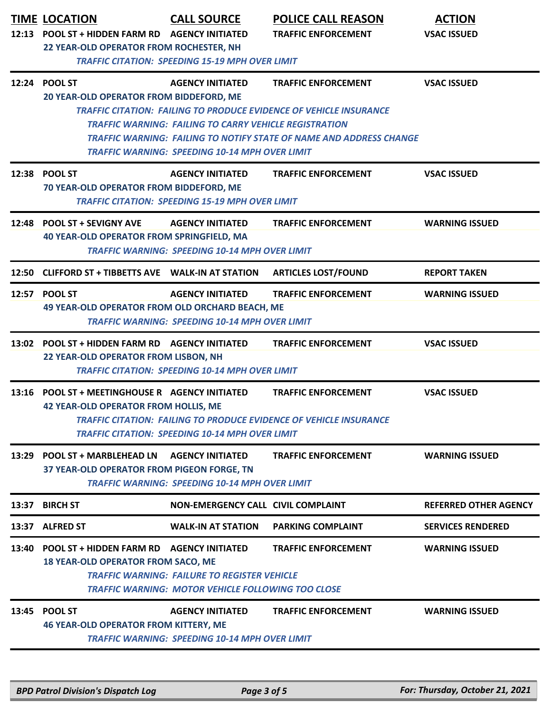| 12:13 | <b>TIME LOCATION</b><br>POOL ST + HIDDEN FARM RD AGENCY INITIATED<br>22 YEAR-OLD OPERATOR FROM ROCHESTER, NH | <b>CALL SOURCE</b><br><b>TRAFFIC CITATION: SPEEDING 15-19 MPH OVER LIMIT</b>                                                                      | <b>POLICE CALL REASON</b><br><b>TRAFFIC ENFORCEMENT</b>                                                                                                                               | <b>ACTION</b><br><b>VSAC ISSUED</b> |
|-------|--------------------------------------------------------------------------------------------------------------|---------------------------------------------------------------------------------------------------------------------------------------------------|---------------------------------------------------------------------------------------------------------------------------------------------------------------------------------------|-------------------------------------|
|       | 12:24 POOL ST<br>20 YEAR-OLD OPERATOR FROM BIDDEFORD, ME                                                     | <b>AGENCY INITIATED</b><br><b>TRAFFIC WARNING: FAILING TO CARRY VEHICLE REGISTRATION</b><br><b>TRAFFIC WARNING: SPEEDING 10-14 MPH OVER LIMIT</b> | <b>TRAFFIC ENFORCEMENT</b><br><b>TRAFFIC CITATION: FAILING TO PRODUCE EVIDENCE OF VEHICLE INSURANCE</b><br><b>TRAFFIC WARNING: FAILING TO NOTIFY STATE OF NAME AND ADDRESS CHANGE</b> | <b>VSAC ISSUED</b>                  |
|       | 12:38 POOL ST<br>70 YEAR-OLD OPERATOR FROM BIDDEFORD, ME                                                     | <b>AGENCY INITIATED</b><br><b>TRAFFIC CITATION: SPEEDING 15-19 MPH OVER LIMIT</b>                                                                 | <b>TRAFFIC ENFORCEMENT</b>                                                                                                                                                            | <b>VSAC ISSUED</b>                  |
|       | 12:48 POOL ST + SEVIGNY AVE<br><b>40 YEAR-OLD OPERATOR FROM SPRINGFIELD, MA</b>                              | <b>AGENCY INITIATED</b><br><b>TRAFFIC WARNING: SPEEDING 10-14 MPH OVER LIMIT</b>                                                                  | <b>TRAFFIC ENFORCEMENT</b>                                                                                                                                                            | <b>WARNING ISSUED</b>               |
| 12:50 | CLIFFORD ST + TIBBETTS AVE WALK-IN AT STATION                                                                |                                                                                                                                                   | <b>ARTICLES LOST/FOUND</b>                                                                                                                                                            | <b>REPORT TAKEN</b>                 |
| 12:57 | <b>POOL ST</b><br>49 YEAR-OLD OPERATOR FROM OLD ORCHARD BEACH, ME                                            | <b>AGENCY INITIATED</b><br><b>TRAFFIC WARNING: SPEEDING 10-14 MPH OVER LIMIT</b>                                                                  | <b>TRAFFIC ENFORCEMENT</b>                                                                                                                                                            | <b>WARNING ISSUED</b>               |
|       | 13:02 POOL ST + HIDDEN FARM RD AGENCY INITIATED<br>22 YEAR-OLD OPERATOR FROM LISBON, NH                      | <b>TRAFFIC CITATION: SPEEDING 10-14 MPH OVER LIMIT</b>                                                                                            | <b>TRAFFIC ENFORCEMENT</b>                                                                                                                                                            | <b>VSAC ISSUED</b>                  |
| 13:16 | POOL ST + MEETINGHOUSE R AGENCY INITIATED<br><b>42 YEAR-OLD OPERATOR FROM HOLLIS, ME</b>                     | <b>TRAFFIC CITATION: SPEEDING 10-14 MPH OVER LIMIT</b>                                                                                            | <b>TRAFFIC ENFORCEMENT</b><br><b>TRAFFIC CITATION: FAILING TO PRODUCE EVIDENCE OF VEHICLE INSURANCE</b>                                                                               | <b>VSAC ISSUED</b>                  |
|       | 13:29 POOL ST + MARBLEHEAD LN<br>37 YEAR-OLD OPERATOR FROM PIGEON FORGE, TN                                  | <b>AGENCY INITIATED</b><br><b>TRAFFIC WARNING: SPEEDING 10-14 MPH OVER LIMIT</b>                                                                  | <b>TRAFFIC ENFORCEMENT</b>                                                                                                                                                            | <b>WARNING ISSUED</b>               |
|       |                                                                                                              | NON-EMERGENCY CALL CIVIL COMPLAINT                                                                                                                |                                                                                                                                                                                       | <b>REFERRED OTHER AGENCY</b>        |
| 13:37 | <b>BIRCH ST</b>                                                                                              |                                                                                                                                                   |                                                                                                                                                                                       |                                     |
| 13:37 | <b>ALFRED ST</b>                                                                                             | <b>WALK-IN AT STATION</b>                                                                                                                         | <b>PARKING COMPLAINT</b>                                                                                                                                                              | <b>SERVICES RENDERED</b>            |
| 13:40 | <b>POOL ST + HIDDEN FARM RD AGENCY INITIATED</b><br><b>18 YEAR-OLD OPERATOR FROM SACO, ME</b>                | <b>TRAFFIC WARNING: FAILURE TO REGISTER VEHICLE</b><br><b>TRAFFIC WARNING: MOTOR VEHICLE FOLLOWING TOO CLOSE</b>                                  | <b>TRAFFIC ENFORCEMENT</b>                                                                                                                                                            | <b>WARNING ISSUED</b>               |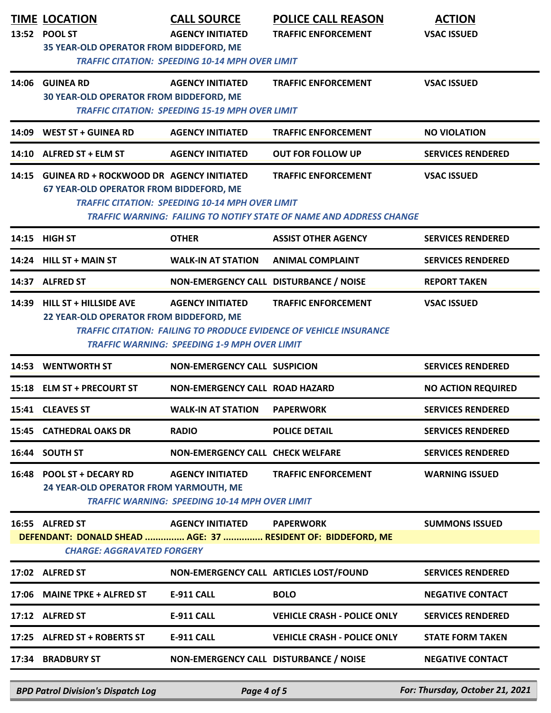|       | <b>TIME LOCATION</b><br>13:52 POOL ST<br>35 YEAR-OLD OPERATOR FROM BIDDEFORD, ME                  | <b>CALL SOURCE</b><br><b>AGENCY INITIATED</b><br><b>TRAFFIC CITATION: SPEEDING 10-14 MPH OVER LIMIT</b> | <b>POLICE CALL REASON</b><br><b>TRAFFIC ENFORCEMENT</b>                                                 | <b>ACTION</b><br><b>VSAC ISSUED</b> |
|-------|---------------------------------------------------------------------------------------------------|---------------------------------------------------------------------------------------------------------|---------------------------------------------------------------------------------------------------------|-------------------------------------|
|       | 14:06 GUINEA RD<br><b>30 YEAR-OLD OPERATOR FROM BIDDEFORD, ME</b>                                 | <b>AGENCY INITIATED</b><br><b>TRAFFIC CITATION: SPEEDING 15-19 MPH OVER LIMIT</b>                       | <b>TRAFFIC ENFORCEMENT</b>                                                                              | <b>VSAC ISSUED</b>                  |
| 14:09 | <b>WEST ST + GUINEA RD</b>                                                                        | <b>AGENCY INITIATED</b>                                                                                 | <b>TRAFFIC ENFORCEMENT</b>                                                                              | <b>NO VIOLATION</b>                 |
|       | 14:10 ALFRED ST + ELM ST                                                                          | <b>AGENCY INITIATED</b>                                                                                 | <b>OUT FOR FOLLOW UP</b>                                                                                | <b>SERVICES RENDERED</b>            |
| 14:15 | <b>GUINEA RD + ROCKWOOD DR AGENCY INITIATED</b><br><b>67 YEAR-OLD OPERATOR FROM BIDDEFORD, ME</b> | <b>TRAFFIC CITATION: SPEEDING 10-14 MPH OVER LIMIT</b>                                                  | <b>TRAFFIC ENFORCEMENT</b><br>TRAFFIC WARNING: FAILING TO NOTIFY STATE OF NAME AND ADDRESS CHANGE       | <b>VSAC ISSUED</b>                  |
|       | 14:15 HIGH ST                                                                                     | <b>OTHER</b>                                                                                            | <b>ASSIST OTHER AGENCY</b>                                                                              | <b>SERVICES RENDERED</b>            |
|       | 14:24 HILL ST + MAIN ST                                                                           | <b>WALK-IN AT STATION</b>                                                                               | <b>ANIMAL COMPLAINT</b>                                                                                 | <b>SERVICES RENDERED</b>            |
| 14:37 | <b>ALFRED ST</b>                                                                                  | NON-EMERGENCY CALL DISTURBANCE / NOISE                                                                  |                                                                                                         | <b>REPORT TAKEN</b>                 |
| 14:39 | <b>HILL ST + HILLSIDE AVE</b><br>22 YEAR-OLD OPERATOR FROM BIDDEFORD, ME                          | <b>AGENCY INITIATED</b><br><b>TRAFFIC WARNING: SPEEDING 1-9 MPH OVER LIMIT</b>                          | <b>TRAFFIC ENFORCEMENT</b><br><b>TRAFFIC CITATION: FAILING TO PRODUCE EVIDENCE OF VEHICLE INSURANCE</b> | <b>VSAC ISSUED</b>                  |
| 14:53 | <b>WENTWORTH ST</b>                                                                               | <b>NON-EMERGENCY CALL SUSPICION</b>                                                                     |                                                                                                         | <b>SERVICES RENDERED</b>            |
|       | 15:18 ELM ST + PRECOURT ST                                                                        | <b>NON-EMERGENCY CALL ROAD HAZARD</b>                                                                   |                                                                                                         | <b>NO ACTION REQUIRED</b>           |
|       | 15:41 CLEAVES ST                                                                                  | <b>WALK-IN AT STATION</b>                                                                               | <b>PAPERWORK</b>                                                                                        | <b>SERVICES RENDERED</b>            |
|       | 15:45 CATHEDRAL OAKS DR                                                                           | <b>RADIO</b>                                                                                            | <b>POLICE DETAIL</b>                                                                                    | <b>SERVICES RENDERED</b>            |
|       | 16:44 SOUTH ST                                                                                    | <b>NON-EMERGENCY CALL CHECK WELFARE</b>                                                                 |                                                                                                         | <b>SERVICES RENDERED</b>            |
|       | 16:48 POOL ST + DECARY RD<br>24 YEAR-OLD OPERATOR FROM YARMOUTH, ME                               | <b>AGENCY INITIATED</b><br><b>TRAFFIC WARNING: SPEEDING 10-14 MPH OVER LIMIT</b>                        | <b>TRAFFIC ENFORCEMENT</b>                                                                              | <b>WARNING ISSUED</b>               |
|       | 16:55 ALFRED ST                                                                                   | <b>AGENCY INITIATED</b>                                                                                 | <b>PAPERWORK</b>                                                                                        | <b>SUMMONS ISSUED</b>               |
|       | DEFENDANT: DONALD SHEAD  AGE: 37  RESIDENT OF: BIDDEFORD, ME<br><b>CHARGE: AGGRAVATED FORGERY</b> |                                                                                                         |                                                                                                         |                                     |
|       | 17:02 ALFRED ST                                                                                   | NON-EMERGENCY CALL ARTICLES LOST/FOUND                                                                  |                                                                                                         | <b>SERVICES RENDERED</b>            |
|       | 17:06 MAINE TPKE + ALFRED ST                                                                      | <b>E-911 CALL</b>                                                                                       | <b>BOLO</b>                                                                                             | <b>NEGATIVE CONTACT</b>             |
|       | 17:12 ALFRED ST                                                                                   | <b>E-911 CALL</b>                                                                                       | <b>VEHICLE CRASH - POLICE ONLY</b>                                                                      | <b>SERVICES RENDERED</b>            |
|       | 17:25 ALFRED ST + ROBERTS ST                                                                      | <b>E-911 CALL</b>                                                                                       | <b>VEHICLE CRASH - POLICE ONLY</b>                                                                      | <b>STATE FORM TAKEN</b>             |
|       | 17:34 BRADBURY ST                                                                                 | NON-EMERGENCY CALL DISTURBANCE / NOISE                                                                  |                                                                                                         | <b>NEGATIVE CONTACT</b>             |

*BPD Patrol Division's Dispatch Log Page 4 of 5 For: Thursday, October 21, 2021*